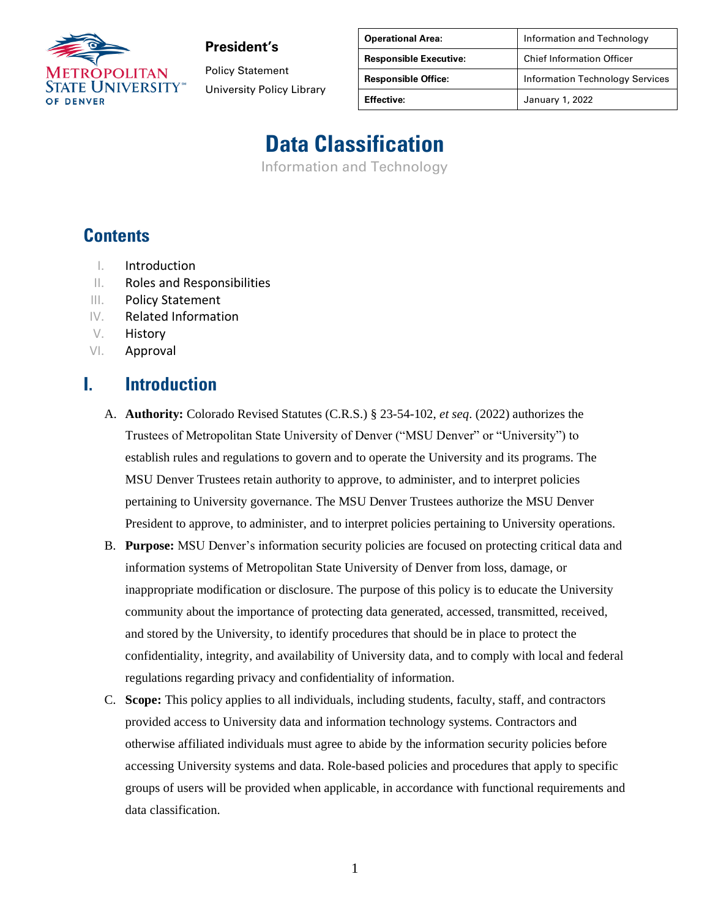

Policy Statement University Policy Library

| <b>Operational Area:</b>      | Information and Technology             |
|-------------------------------|----------------------------------------|
| <b>Responsible Executive:</b> | <b>Chief Information Officer</b>       |
| <b>Responsible Office:</b>    | <b>Information Technology Services</b> |
| <b>Effective:</b>             | January 1, 2022                        |

# **Data Classification**

Information and Technology

#### **Contents**

- I. Introduction
- II. Roles and Responsibilities
- III. Policy Statement
- IV. Related Information
- V. History
- VI. Approval

#### **I. Introduction**

- A. **Authority:** Colorado Revised Statutes (C.R.S.) § 23-54-102, *et seq*. (2022) authorizes the Trustees of Metropolitan State University of Denver ("MSU Denver" or "University") to establish rules and regulations to govern and to operate the University and its programs. The MSU Denver Trustees retain authority to approve, to administer, and to interpret policies pertaining to University governance. The MSU Denver Trustees authorize the MSU Denver President to approve, to administer, and to interpret policies pertaining to University operations.
- B. **Purpose:** MSU Denver's information security policies are focused on protecting critical data and information systems of Metropolitan State University of Denver from loss, damage, or inappropriate modification or disclosure. The purpose of this policy is to educate the University community about the importance of protecting data generated, accessed, transmitted, received, and stored by the University, to identify procedures that should be in place to protect the confidentiality, integrity, and availability of University data, and to comply with local and federal regulations regarding privacy and confidentiality of information.
- C. **Scope:** This policy applies to all individuals, including students, faculty, staff, and contractors provided access to University data and information technology systems. Contractors and otherwise affiliated individuals must agree to abide by the information security policies before accessing University systems and data. Role-based policies and procedures that apply to specific groups of users will be provided when applicable, in accordance with functional requirements and data classification.

1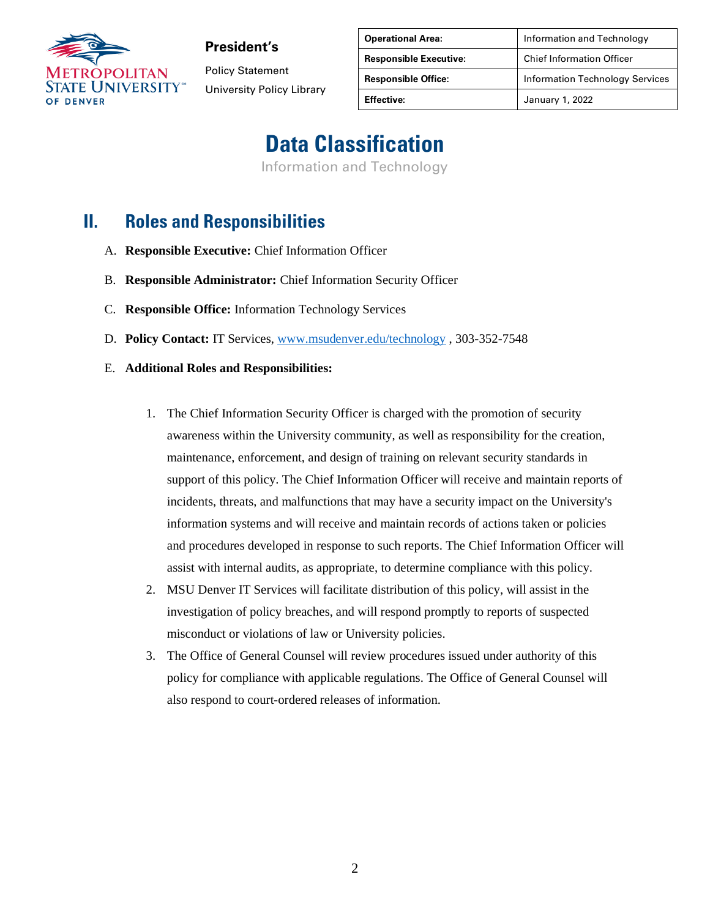

Policy Statement University Policy Library

| <b>Operational Area:</b>      | Information and Technology             |
|-------------------------------|----------------------------------------|
| <b>Responsible Executive:</b> | <b>Chief Information Officer</b>       |
| <b>Responsible Office:</b>    | <b>Information Technology Services</b> |
| <b>Effective:</b>             | January 1, 2022                        |

## **Data Classification**

Information and Technology

#### **II. Roles and Responsibilities**

- A. **Responsible Executive:** Chief Information Officer
- B. **Responsible Administrator:** Chief Information Security Officer
- C. **Responsible Office:** Information Technology Services
- D. **Policy Contact:** IT Services, [www.msudenver.edu/technology](http://www.msudenver.edu/technology) , 303-352-7548
- E. **Additional Roles and Responsibilities:** 
	- 1. The Chief Information Security Officer is charged with the promotion of security awareness within the University community, as well as responsibility for the creation, maintenance, enforcement, and design of training on relevant security standards in support of this policy. The Chief Information Officer will receive and maintain reports of incidents, threats, and malfunctions that may have a security impact on the University's information systems and will receive and maintain records of actions taken or policies and procedures developed in response to such reports. The Chief Information Officer will assist with internal audits, as appropriate, to determine compliance with this policy.
	- 2. MSU Denver IT Services will facilitate distribution of this policy, will assist in the investigation of policy breaches, and will respond promptly to reports of suspected misconduct or violations of law or University policies.
	- 3. The Office of General Counsel will review procedures issued under authority of this policy for compliance with applicable regulations. The Office of General Counsel will also respond to court-ordered releases of information.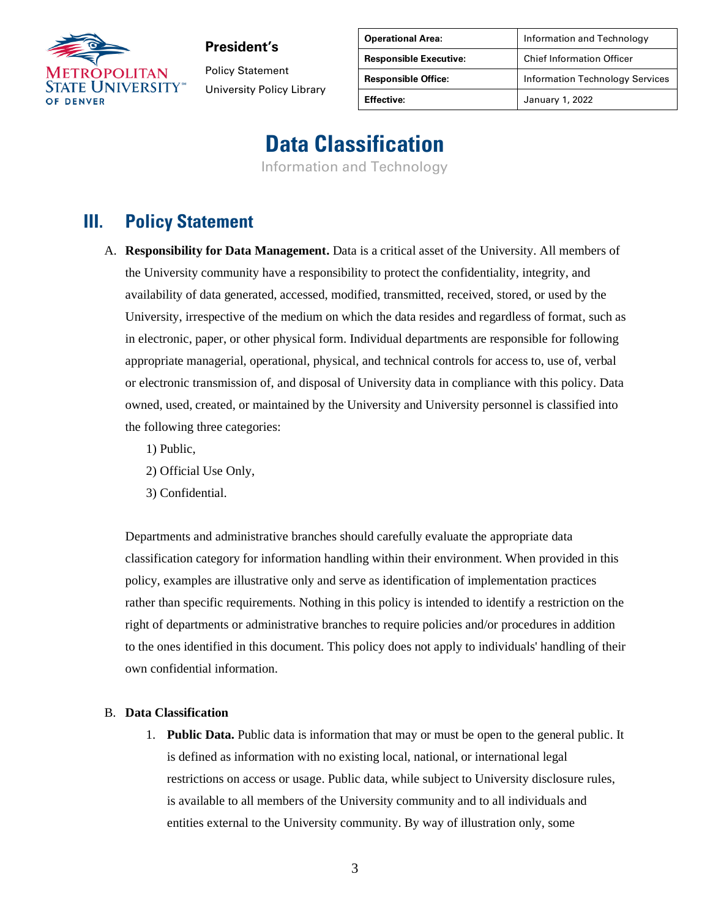

Policy Statement University Policy Library

| <b>Operational Area:</b>      | Information and Technology             |
|-------------------------------|----------------------------------------|
| <b>Responsible Executive:</b> | <b>Chief Information Officer</b>       |
| <b>Responsible Office:</b>    | <b>Information Technology Services</b> |
| <b>Effective:</b>             | January 1, 2022                        |

### **Data Classification**

Information and Technology

#### **III. Policy Statement**

- A. **Responsibility for Data Management.** Data is a critical asset of the University. All members of the University community have a responsibility to protect the confidentiality, integrity, and availability of data generated, accessed, modified, transmitted, received, stored, or used by the University, irrespective of the medium on which the data resides and regardless of format, such as in electronic, paper, or other physical form. Individual departments are responsible for following appropriate managerial, operational, physical, and technical controls for access to, use of, verbal or electronic transmission of, and disposal of University data in compliance with this policy. Data owned, used, created, or maintained by the University and University personnel is classified into the following three categories:
	- 1) Public,
	- 2) Official Use Only,
	- 3) Confidential.

Departments and administrative branches should carefully evaluate the appropriate data classification category for information handling within their environment. When provided in this policy, examples are illustrative only and serve as identification of implementation practices rather than specific requirements. Nothing in this policy is intended to identify a restriction on the right of departments or administrative branches to require policies and/or procedures in addition to the ones identified in this document. This policy does not apply to individuals' handling of their own confidential information.

#### B. **Data Classification**

1. **Public Data.** Public data is information that may or must be open to the general public. It is defined as information with no existing local, national, or international legal restrictions on access or usage. Public data, while subject to University disclosure rules, is available to all members of the University community and to all individuals and entities external to the University community. By way of illustration only, some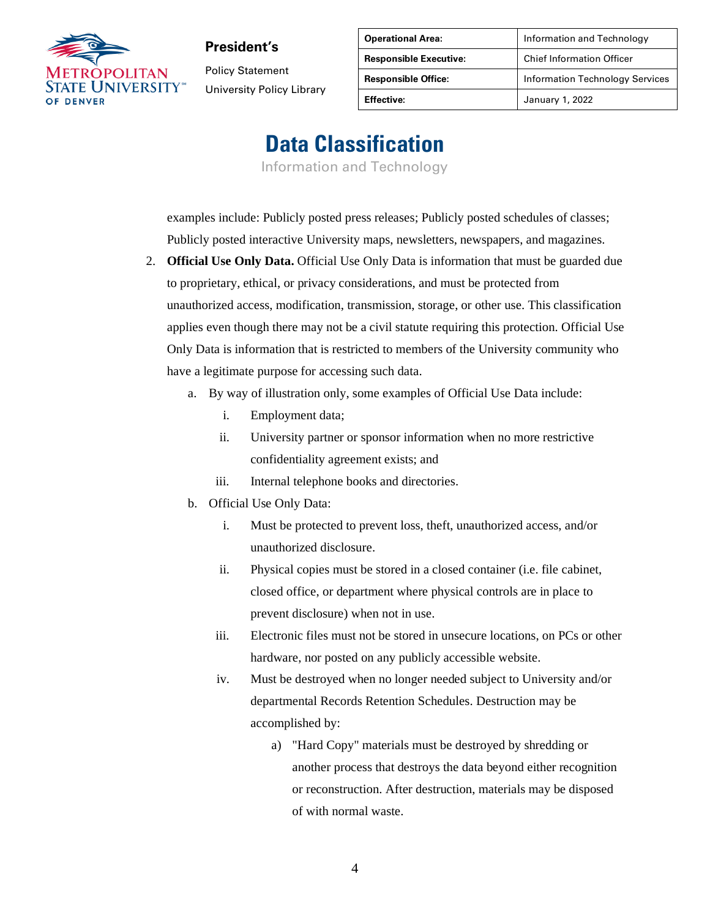

Policy Statement University Policy Library

| <b>Operational Area:</b>      | Information and Technology             |
|-------------------------------|----------------------------------------|
| <b>Responsible Executive:</b> | <b>Chief Information Officer</b>       |
| <b>Responsible Office:</b>    | <b>Information Technology Services</b> |
| <b>Effective:</b>             | January 1, 2022                        |

## **Data Classification**

Information and Technology

examples include: Publicly posted press releases; Publicly posted schedules of classes; Publicly posted interactive University maps, newsletters, newspapers, and magazines.

- 2. **Official Use Only Data.** Official Use Only Data is information that must be guarded due to proprietary, ethical, or privacy considerations, and must be protected from unauthorized access, modification, transmission, storage, or other use. This classification applies even though there may not be a civil statute requiring this protection. Official Use Only Data is information that is restricted to members of the University community who have a legitimate purpose for accessing such data.
	- a. By way of illustration only, some examples of Official Use Data include:
		- i. Employment data;
		- ii. University partner or sponsor information when no more restrictive confidentiality agreement exists; and
		- iii. Internal telephone books and directories.
	- b. Official Use Only Data:
		- i. Must be protected to prevent loss, theft, unauthorized access, and/or unauthorized disclosure.
		- ii. Physical copies must be stored in a closed container (i.e. file cabinet, closed office, or department where physical controls are in place to prevent disclosure) when not in use.
		- iii. Electronic files must not be stored in unsecure locations, on PCs or other hardware, nor posted on any publicly accessible website.
		- iv. Must be destroyed when no longer needed subject to University and/or departmental Records Retention Schedules. Destruction may be accomplished by:
			- a) "Hard Copy" materials must be destroyed by shredding or another process that destroys the data beyond either recognition or reconstruction. After destruction, materials may be disposed of with normal waste.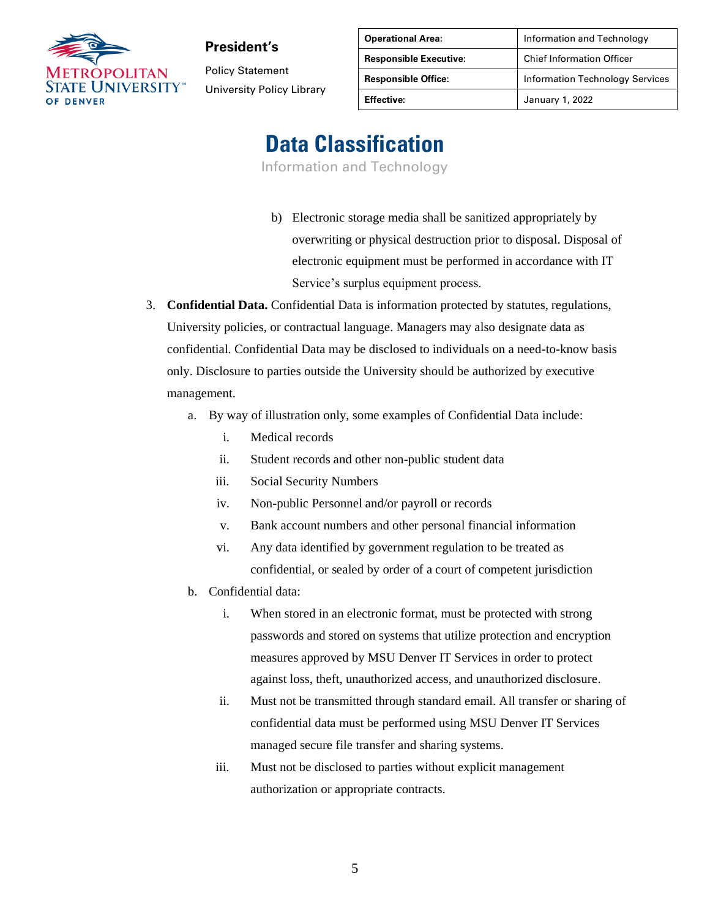

Policy Statement University Policy Library

| <b>Operational Area:</b>      | Information and Technology             |
|-------------------------------|----------------------------------------|
| <b>Responsible Executive:</b> | <b>Chief Information Officer</b>       |
| <b>Responsible Office:</b>    | <b>Information Technology Services</b> |
| <b>Effective:</b>             | January 1, 2022                        |

# **Data Classification**

Information and Technology

- b) Electronic storage media shall be sanitized appropriately by overwriting or physical destruction prior to disposal. Disposal of electronic equipment must be performed in accordance with IT Service's surplus equipment process.
- 3. **Confidential Data.** Confidential Data is information protected by statutes, regulations, University policies, or contractual language. Managers may also designate data as confidential. Confidential Data may be disclosed to individuals on a need-to-know basis only. Disclosure to parties outside the University should be authorized by executive management.
	- a. By way of illustration only, some examples of Confidential Data include:
		- i. Medical records
		- ii. Student records and other non-public student data
		- iii. Social Security Numbers
		- iv. Non-public Personnel and/or payroll or records
		- v. Bank account numbers and other personal financial information
		- vi. Any data identified by government regulation to be treated as confidential, or sealed by order of a court of competent jurisdiction
	- b. Confidential data:
		- i. When stored in an electronic format, must be protected with strong passwords and stored on systems that utilize protection and encryption measures approved by MSU Denver IT Services in order to protect against loss, theft, unauthorized access, and unauthorized disclosure.
		- ii. Must not be transmitted through standard email. All transfer or sharing of confidential data must be performed using MSU Denver IT Services managed secure file transfer and sharing systems.
		- iii. Must not be disclosed to parties without explicit management authorization or appropriate contracts.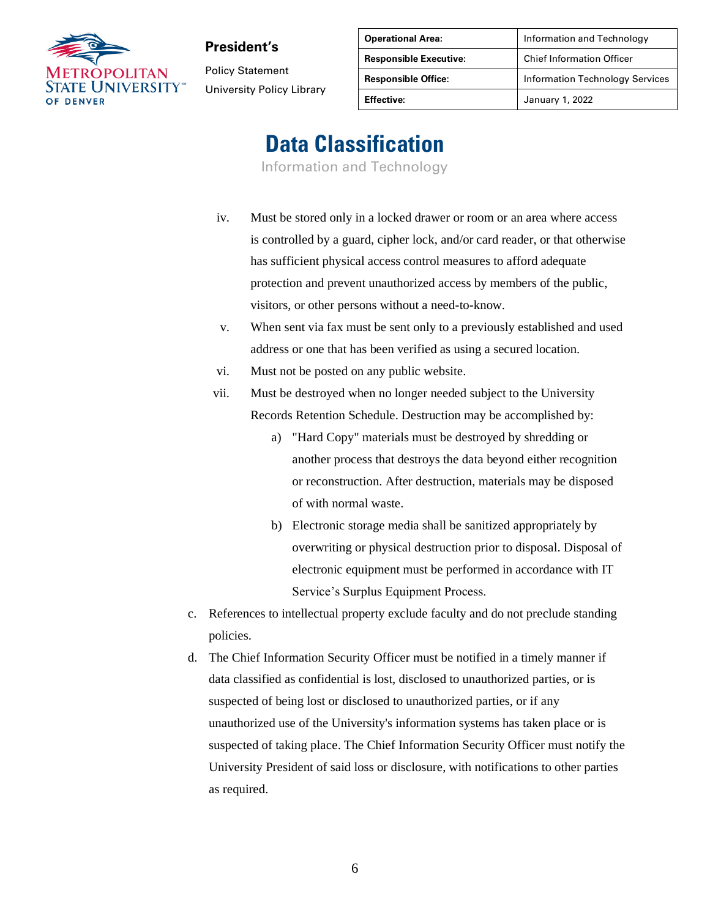

Policy Statement University Policy Library

| <b>Operational Area:</b>      | Information and Technology             |
|-------------------------------|----------------------------------------|
| <b>Responsible Executive:</b> | <b>Chief Information Officer</b>       |
| <b>Responsible Office:</b>    | <b>Information Technology Services</b> |
| <b>Effective:</b>             | January 1, 2022                        |

# **Data Classification**

Information and Technology

- iv. Must be stored only in a locked drawer or room or an area where access is controlled by a guard, cipher lock, and/or card reader, or that otherwise has sufficient physical access control measures to afford adequate protection and prevent unauthorized access by members of the public, visitors, or other persons without a need-to-know.
	- v. When sent via fax must be sent only to a previously established and used address or one that has been verified as using a secured location.
- vi. Must not be posted on any public website.
- vii. Must be destroyed when no longer needed subject to the University Records Retention Schedule. Destruction may be accomplished by:
	- a) "Hard Copy" materials must be destroyed by shredding or another process that destroys the data beyond either recognition or reconstruction. After destruction, materials may be disposed of with normal waste.
	- b) Electronic storage media shall be sanitized appropriately by overwriting or physical destruction prior to disposal. Disposal of electronic equipment must be performed in accordance with IT Service's Surplus Equipment Process.
- c. References to intellectual property exclude faculty and do not preclude standing policies.
- d. The Chief Information Security Officer must be notified in a timely manner if data classified as confidential is lost, disclosed to unauthorized parties, or is suspected of being lost or disclosed to unauthorized parties, or if any unauthorized use of the University's information systems has taken place or is suspected of taking place. The Chief Information Security Officer must notify the University President of said loss or disclosure, with notifications to other parties as required.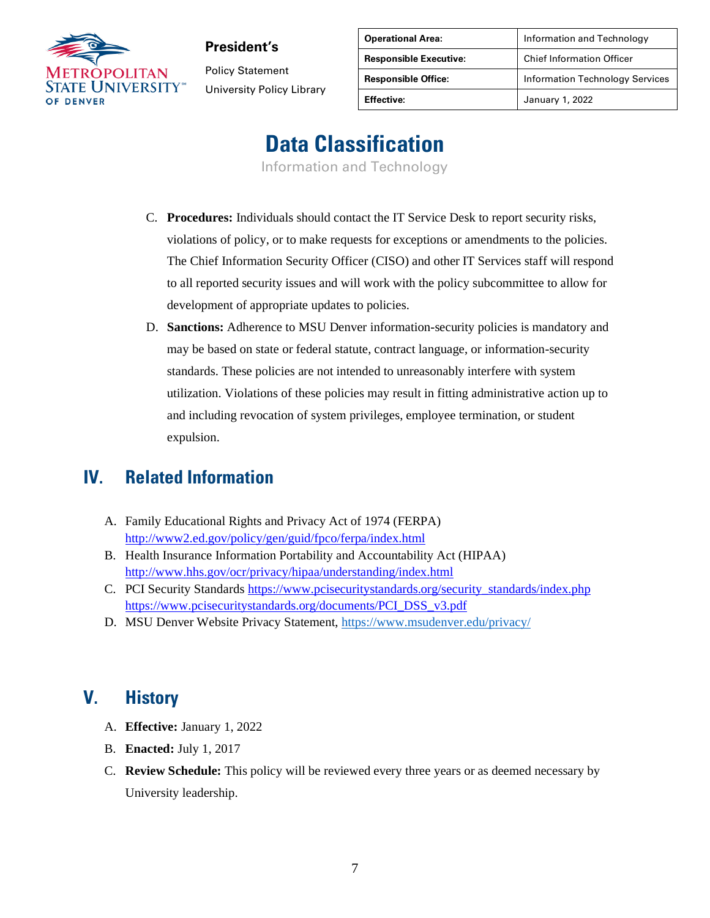

Policy Statement University Policy Library

| <b>Operational Area:</b>      | Information and Technology             |
|-------------------------------|----------------------------------------|
| <b>Responsible Executive:</b> | <b>Chief Information Officer</b>       |
| <b>Responsible Office:</b>    | <b>Information Technology Services</b> |
| <b>Effective:</b>             | January 1, 2022                        |

# **Data Classification**

Information and Technology

- C. **Procedures:** Individuals should contact the IT Service Desk to report security risks, violations of policy, or to make requests for exceptions or amendments to the policies. The Chief Information Security Officer (CISO) and other IT Services staff will respond to all reported security issues and will work with the policy subcommittee to allow for development of appropriate updates to policies.
- D. **Sanctions:** Adherence to MSU Denver information-security policies is mandatory and may be based on state or federal statute, contract language, or information-security standards. These policies are not intended to unreasonably interfere with system utilization. Violations of these policies may result in fitting administrative action up to and including revocation of system privileges, employee termination, or student expulsion.

#### **IV. Related Information**

- A. Family Educational Rights and Privacy Act of 1974 (FERPA) <http://www2.ed.gov/policy/gen/guid/fpco/ferpa/index.html>
- B. Health Insurance Information Portability and Accountability Act (HIPAA) <http://www.hhs.gov/ocr/privacy/hipaa/understanding/index.html>
- C. PCI Security Standard[s https://www.pcisecuritystandards.org/security\\_standards/index.php](https://www.pcisecuritystandards.org/security_standards/index.php) [https://www.pcisecuritystandards.org/documents/PCI\\_DSS\\_v3.pdf](https://www.pcisecuritystandards.org/documents/PCI_DSS_v3.pdf)
- D. MSU Denver Website Privacy Statement,<https://www.msudenver.edu/privacy/>

#### **V. History**

- A. **Effective:** January 1, 2022
- B. **Enacted:** July 1, 2017
- C. **Review Schedule:** This policy will be reviewed every three years or as deemed necessary by University leadership.